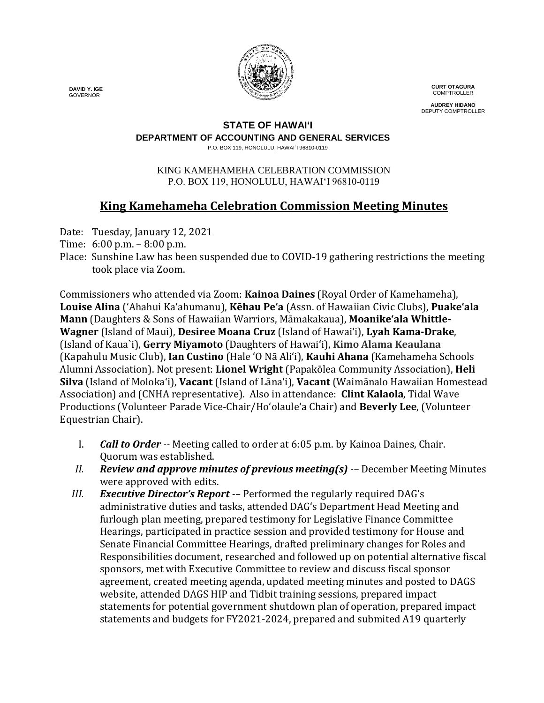

**CURT OTAGURA COMPTROLLER** 

**AUDREY HIDANO** DEPUTY COMPTROLLER

### **STATE OF HAWAI'I**

**DEPARTMENT OF ACCOUNTING AND GENERAL SERVICES**

P.O. BOX 119, HONOLULU, HAWAI`I 96810-0119

#### KING KAMEHAMEHA CELEBRATION COMMISSION P.O. BOX 119, HONOLULU, HAWAIʻI 96810-0119

# **King Kamehameha Celebration Commission Meeting Minutes**

Date: Tuesday, January 12, 2021

- Time: 6:00 p.m. 8:00 p.m.
- Place: Sunshine Law has been suspended due to COVID-19 gathering restrictions the meeting took place via Zoom.

Commissioners who attended via Zoom: **Kainoa Daines** (Royal Order of Kamehameha), **Louise Alina** ('Ahahui Ka'ahumanu), **Kēhau Pe'a** (Assn. of Hawaiian Civic Clubs), **Puake'ala Mann** (Daughters & Sons of Hawaiian Warriors, Māmakakaua), **Moanike'ala Whittle-Wagner** (Island of Maui), **Desiree Moana Cruz** (Island of Hawai'i), **Lyah Kama-Drake**, (Island of Kaua`i), **Gerry Miyamoto** (Daughters of Hawai'i), **Kimo Alama Keaulana** (Kapahulu Music Club), **Ian Custino** (Hale 'O Nā Ali'i), **Kauhi Ahana** (Kamehameha Schools Alumni Association). Not present: **Lionel Wright** (Papakōlea Community Association), **Heli Silva** (Island of Molokaʻi), **Vacant** (Island of Lāna'i), **Vacant** (Waimānalo Hawaiian Homestead Association) and (CNHA representative). Also in attendance: **Clint Kalaola**, Tidal Wave Productions (Volunteer Parade Vice-Chair/Ho'olaule'a Chair) and **Beverly Lee**, (Volunteer Equestrian Chair).

- I. *Call to Order --* Meeting called to order at 6:05 p.m. by Kainoa Daines, Chair. Quorum was established.
- *II. Review and approve minutes of previous meeting(s) -–* December Meeting Minutes were approved with edits.
- *III. Executive Director's Report -–* Performed the regularly required DAG's administrative duties and tasks, attended DAGʻs Department Head Meeting and furlough plan meeting, prepared testimony for Legislative Finance Committee Hearings, participated in practice session and provided testimony for House and Senate Financial Committee Hearings, drafted preliminary changes for Roles and Responsibilities document, researched and followed up on potential alternative fiscal sponsors, met with Executive Committee to review and discuss fiscal sponsor agreement, created meeting agenda, updated meeting minutes and posted to DAGS website, attended DAGS HIP and Tidbit training sessions, prepared impact statements for potential government shutdown plan of operation, prepared impact statements and budgets for FY2021-2024, prepared and submited A19 quarterly

 **DAVID Y. IGE** GOVERNOR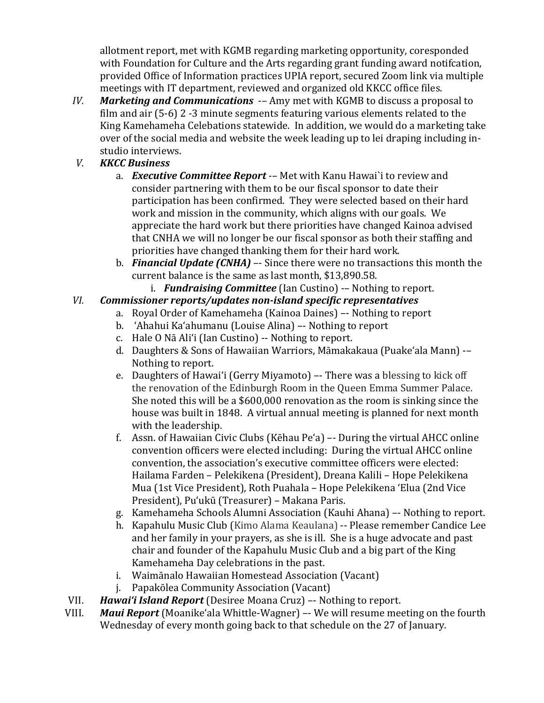allotment report, met with KGMB regarding marketing opportunity, coresponded with Foundation for Culture and the Arts regarding grant funding award notifcation, provided Office of Information practices UPIA report, secured Zoom link via multiple meetings with IT department, reviewed and organized old KKCC office files.

- *IV. Marketing and Communications* -*–* Amy met with KGMB to discuss a proposal to film and air (5-6) 2 -3 minute segments featuring various elements related to the King Kamehameha Celebations statewide. In addition, we would do a marketing take over of the social media and website the week leading up to lei draping including instudio interviews.
- *V. KKCC Business* 
	- a. *Executive Committee Report -–* Met with Kanu Hawai`i to review and consider partnering with them to be our fiscal sponsor to date their participation has been confirmed. They were selected based on their hard work and mission in the community, which aligns with our goals. We appreciate the hard work but there priorities have changed Kainoa advised that CNHA we will no longer be our fiscal sponsor as both their staffing and priorities have changed thanking them for their hard work.
	- b. *Financial Update (CNHA)* –- Since there were no transactions this month the current balance is the same as last month, \$13,890.58.
		- i. *Fundraising Committee* (Ian Custino) -– Nothing to report.

# *VI. Commissioner reports/updates non-island specific representatives*

- a. Royal Order of Kamehameha (Kainoa Daines) –- Nothing to report
- b. 'Ahahui Ka'ahumanu (Louise Alina) –- Nothing to report
- c. Hale O Nā Ali'i (Ian Custino) -- Nothing to report.
- d. Daughters & Sons of Hawaiian Warriors, Māmakakaua (Puake'ala Mann) -– Nothing to report.
- e. Daughters of Hawai'i (Gerry Miyamoto) –- There was a blessing to kick off the renovation of the Edinburgh Room in the Queen Emma Summer Palace. She noted this will be a \$600,000 renovation as the room is sinking since the house was built in 1848. A virtual annual meeting is planned for next month with the leadership.
- f. Assn. of Hawaiian Civic Clubs (Kēhau Pe'a) –- During the virtual AHCC online convention officers were elected including: During the virtual AHCC online convention, the association's executive committee officers were elected: Hailama Farden – Pelekikena (President), Dreana Kalili – Hope Pelekikena Mua (1st Vice President), Roth Puahala – Hope Pelekikena 'Elua (2nd Vice President), Pu'ukū (Treasurer) – Makana Paris.
- g. Kamehameha Schools Alumni Association (Kauhi Ahana) –- Nothing to report.
- h. Kapahulu Music Club (Kimo Alama Keaulana) -- Please remember Candice Lee and her family in your prayers, as she is ill. She is a huge advocate and past chair and founder of the Kapahulu Music Club and a big part of the King Kamehameha Day celebrations in the past.
- i. Waimānalo Hawaiian Homestead Association (Vacant)
- j. Papakōlea Community Association (Vacant)
- VII. *Hawai'i Island Report* (Desiree Moana Cruz) –- Nothing to report.
- **Maui Report** (Moanike'ala Whittle-Wagner) –- We will resume meeting on the fourth Wednesday of every month going back to that schedule on the 27 of January.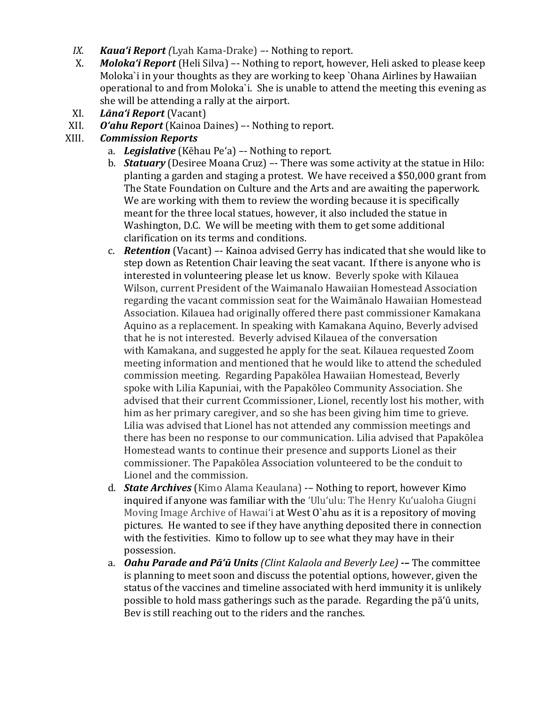- *IX. Kaua'i Report (*Lyah Kama-Drake) *–-* Nothing to report.
- *Moloka'i Report* (Heli Silva) –- Nothing to report, however, Heli asked to please keep Moloka`i in your thoughts as they are working to keep `Ohana Airlines by Hawaiian operational to and from Moloka`i. She is unable to attend the meeting this evening as she will be attending a rally at the airport.
- XI. *Lāna'i Report* (Vacant)
- XII. *O'ahu Report* (Kainoa Daines) –- Nothing to report.

## *Commission Reports*

- a. *Legislative* (Kēhau Pe'a) –- Nothing to report.
- b. *Statuary* (Desiree Moana Cruz) –- There was some activity at the statue in Hilo: planting a garden and staging a protest. We have received a \$50,000 grant from The State Foundation on Culture and the Arts and are awaiting the paperwork. We are working with them to review the wording because it is specifically meant for the three local statues, however, it also included the statue in Washington, D.C. We will be meeting with them to get some additional clarification on its terms and conditions.
- c. *Retention* (Vacant) –- Kainoa advised Gerry has indicated that she would like to step down as Retention Chair leaving the seat vacant. If there is anyone who is interested in volunteering please let us know. Beverly spoke with Kilauea Wilson, current President of the Waimanalo Hawaiian Homestead Association regarding the vacant commission seat for the Waimānalo Hawaiian Homestead Association. Kilauea had originally offered there past commissioner Kamakana Aquino as a replacement. In speaking with Kamakana Aquino, Beverly advised that he is not interested. Beverly advised Kilauea of the conversation with Kamakana, and suggested he apply for the seat. Kilauea requested Zoom meeting information and mentioned that he would like to attend the scheduled commission meeting. Regarding Papakōlea Hawaiian Homestead, Beverly spoke with Lilia Kapuniai, with the Papakōleo Community Association. She advised that their current Ccommissioner, Lionel, recently lost his mother, with him as her primary caregiver, and so she has been giving him time to grieve. Lilia was advised that Lionel has not attended any commission meetings and there has been no response to our communication. Lilia advised that Papakōlea Homestead wants to continue their presence and supports Lionel as their commissioner. The Papakōlea Association volunteered to be the conduit to Lionel and the commission.
- d. *State Archives* (Kimo Alama Keaulana) -– Nothing to report, however Kimo inquired if anyone was familiar with the 'Ulu'ulu: The Henry Ku'ualoha Giugni Moving Image Archive of Hawai'i at West O`ahu as it is a repository of moving pictures. He wanted to see if they have anything deposited there in connection with the festivities. Kimo to follow up to see what they may have in their possession.
- a. *Oahu Parade and Pā'ū Units (Clint Kalaola and Beverly Lee) -–* The committee is planning to meet soon and discuss the potential options, however, given the status of the vaccines and timeline associated with herd immunity it is unlikely possible to hold mass gatherings such as the parade. Regarding the pā'ū units, Bev is still reaching out to the riders and the ranches.